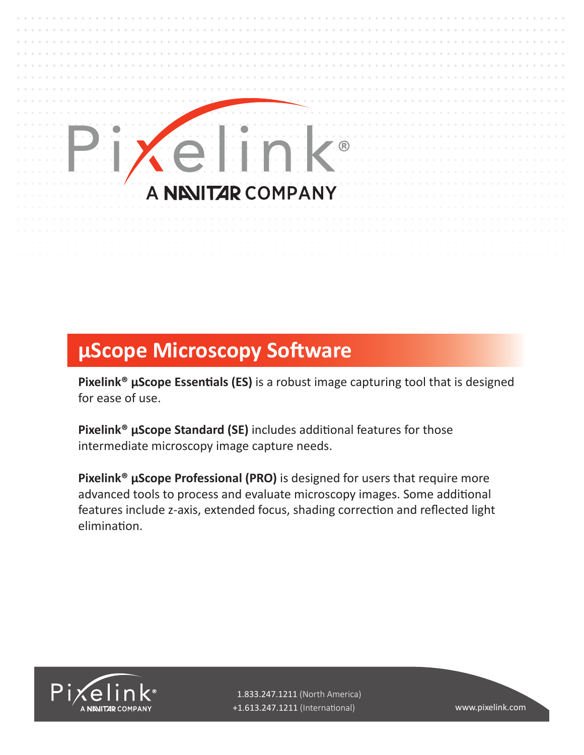## (R) **NEVITAR COMPANY**

## **μScope Microscopy Software**

**Pixelink® μScope Essentials (ES)** is a robust image capturing tool that is designed for ease of use.

**Pixelink® μScope Standard (SE)** includes additional features for those intermediate microscopy image capture needs.

**Pixelink® μScope Professional (PRO)** is designed for users that require more advanced tools to process and evaluate microscopy images. Some additional features include z-axis, extended focus, shading correction and reflected light elimination.



 1.833.247.1211 (North America) +1.613.247.1211 (International) www.pixelink.com

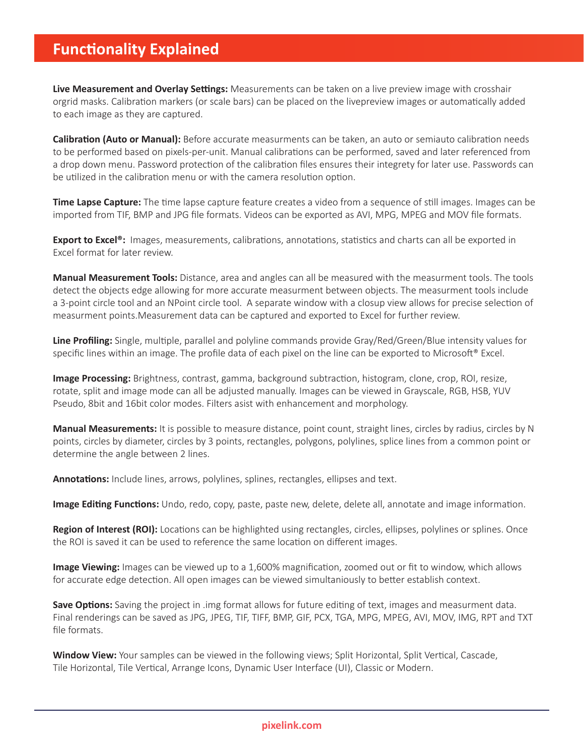## **Functionality Explained**

**Live Measurement and Overlay Settings:** Measurements can be taken on a live preview image with crosshair orgrid masks. Calibration markers (or scale bars) can be placed on the livepreview images or automatically added to each image as they are captured.

**Calibration (Auto or Manual):** Before accurate measurments can be taken, an auto or semiauto calibration needs to be performed based on pixels-per-unit. Manual calibrations can be performed, saved and later referenced from a drop down menu. Password protection of the calibration files ensures their integrety for later use. Passwords can be utilized in the calibration menu or with the camera resolution option.

**Time Lapse Capture:** The time lapse capture feature creates a video from a sequence of still images. Images can be imported from TIF, BMP and JPG file formats. Videos can be exported as AVI, MPG, MPEG and MOV file formats.

**Export to Excel®:** Images, measurements, calibrations, annotations, statistics and charts can all be exported in Excel format for later review.

**Manual Measurement Tools:** Distance, area and angles can all be measured with the measurment tools. The tools detect the objects edge allowing for more accurate measurment between objects. The measurment tools include a 3-point circle tool and an NPoint circle tool. A separate window with a closup view allows for precise selection of measurment points.Measurement data can be captured and exported to Excel for further review.

**Line Profiling:** Single, multiple, parallel and polyline commands provide Gray/Red/Green/Blue intensity values for specific lines within an image. The profile data of each pixel on the line can be exported to Microsoft® Excel.

**Image Processing:** Brightness, contrast, gamma, background subtraction, histogram, clone, crop, ROI, resize, rotate, split and image mode can all be adjusted manually. Images can be viewed in Grayscale, RGB, HSB, YUV Pseudo, 8bit and 16bit color modes. Filters asist with enhancement and morphology.

**Manual Measurements:** It is possible to measure distance, point count, straight lines, circles by radius, circles by N points, circles by diameter, circles by 3 points, rectangles, polygons, polylines, splice lines from a common point or determine the angle between 2 lines.

**Annotations:** Include lines, arrows, polylines, splines, rectangles, ellipses and text.

**Image Editing Functions:** Undo, redo, copy, paste, paste new, delete, delete all, annotate and image information.

**Region of Interest (ROI):** Locations can be highlighted using rectangles, circles, ellipses, polylines or splines. Once the ROI is saved it can be used to reference the same location on different images.

**Image Viewing:** Images can be viewed up to a 1,600% magnification, zoomed out or fit to window, which allows for accurate edge detection. All open images can be viewed simultaniously to better establish context.

**Save Options:** Saving the project in .img format allows for future editing of text, images and measurment data. Final renderings can be saved as JPG, JPEG, TIF, TIFF, BMP, GIF, PCX, TGA, MPG, MPEG, AVI, MOV, IMG, RPT and TXT file formats.

**Window View:** Your samples can be viewed in the following views; Split Horizontal, Split Vertical, Cascade, Tile Horizontal, Tile Vertical, Arrange Icons, Dynamic User Interface (UI), Classic or Modern.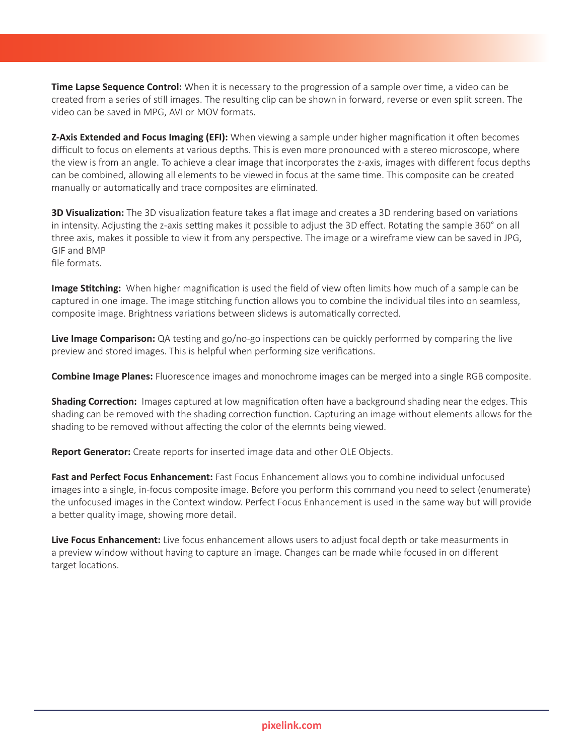**Time Lapse Sequence Control:** When it is necessary to the progression of a sample over time, a video can be created from a series of still images. The resulting clip can be shown in forward, reverse or even split screen. The video can be saved in MPG, AVI or MOV formats.

**Z-Axis Extended and Focus Imaging (EFI):** When viewing a sample under higher magnification it often becomes difficult to focus on elements at various depths. This is even more pronounced with a stereo microscope, where the view is from an angle. To achieve a clear image that incorporates the z-axis, images with different focus depths can be combined, allowing all elements to be viewed in focus at the same time. This composite can be created manually or automatically and trace composites are eliminated.

**3D Visualization:** The 3D visualization feature takes a flat image and creates a 3D rendering based on variations in intensity. Adjusting the z-axis setting makes it possible to adjust the 3D effect. Rotating the sample 360° on all three axis, makes it possible to view it from any perspective. The image or a wireframe view can be saved in JPG, GIF and BMP

file formats.

**Image Stitching:** When higher magnification is used the field of view often limits how much of a sample can be captured in one image. The image stitching function allows you to combine the individual tiles into on seamless, composite image. Brightness variations between slidews is automatically corrected.

**Live Image Comparison:** QA testing and go/no-go inspections can be quickly performed by comparing the live preview and stored images. This is helpful when performing size verifications.

**Combine Image Planes:** Fluorescence images and monochrome images can be merged into a single RGB composite.

**Shading Correction:** Images captured at low magnification often have a background shading near the edges. This shading can be removed with the shading correction function. Capturing an image without elements allows for the shading to be removed without affecting the color of the elemnts being viewed.

**Report Generator:** Create reports for inserted image data and other OLE Objects.

**Fast and Perfect Focus Enhancement:** Fast Focus Enhancement allows you to combine individual unfocused images into a single, in-focus composite image. Before you perform this command you need to select (enumerate) the unfocused images in the Context window. Perfect Focus Enhancement is used in the same way but will provide a better quality image, showing more detail.

**Live Focus Enhancement:** Live focus enhancement allows users to adjust focal depth or take measurments in a preview window without having to capture an image. Changes can be made while focused in on different target locations.